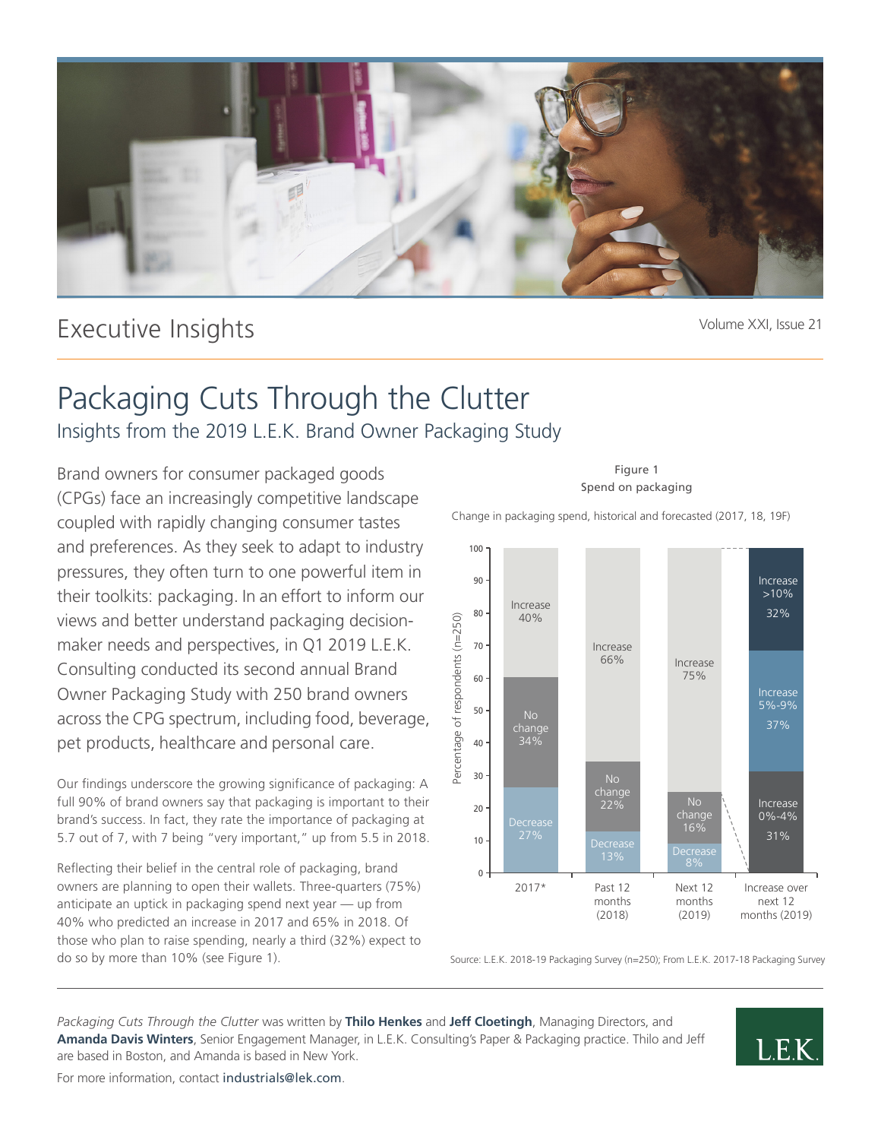

# Executive Insights

Volume XXI, Issue 21

# Packaging Cuts Through the Clutter Insights from the 2019 L.E.K. Brand Owner Packaging Study

Brand owners for consumer packaged goods (CPGs) face an increasingly competitive landscape coupled with rapidly changing consumer tastes and preferences. As they seek to adapt to industry pressures, they often turn to one powerful item in their toolkits: packaging. In an effort to inform our views and better understand packaging decisionmaker needs and perspectives, in Q1 2019 L.E.K. Consulting conducted its second annual Brand Owner Packaging Study with 250 brand owners across the CPG spectrum, including food, beverage, pet products, healthcare and personal care.

Our findings underscore the growing significance of packaging: A full 90% of brand owners say that packaging is important to their brand's success. In fact, they rate the importance of packaging at 5.7 out of 7, with 7 being "very important," up from 5.5 in 2018.

Reflecting their belief in the central role of packaging, brand owners are planning to open their wallets. Three-quarters (75%) anticipate an uptick in packaging spend next year — up from 40% who predicted an increase in 2017 and 65% in 2018. Of those who plan to raise spending, nearly a third (32%) expect to do so by more than 10% (see Figure 1).

Figure 1 Spend on packaging

Change in packaging spend, historical and forecasted (2017, 18, 19F)



Source: L.E.K. 2018-19 Packaging Survey (n=250); From L.E.K. 2017-18 Packaging Survey

*Packaging Cuts Through the Clutter* was written by **Thilo Henkes** and **Jeff Cloetingh**, Managing Directors, and **Amanda Davis Winters**, Senior Engagement Manager, in L.E.K. Consulting's Paper & Packaging practice. Thilo and Jeff are based in Boston, and Amanda is based in New York.



For more information, contact industrials@lek.com.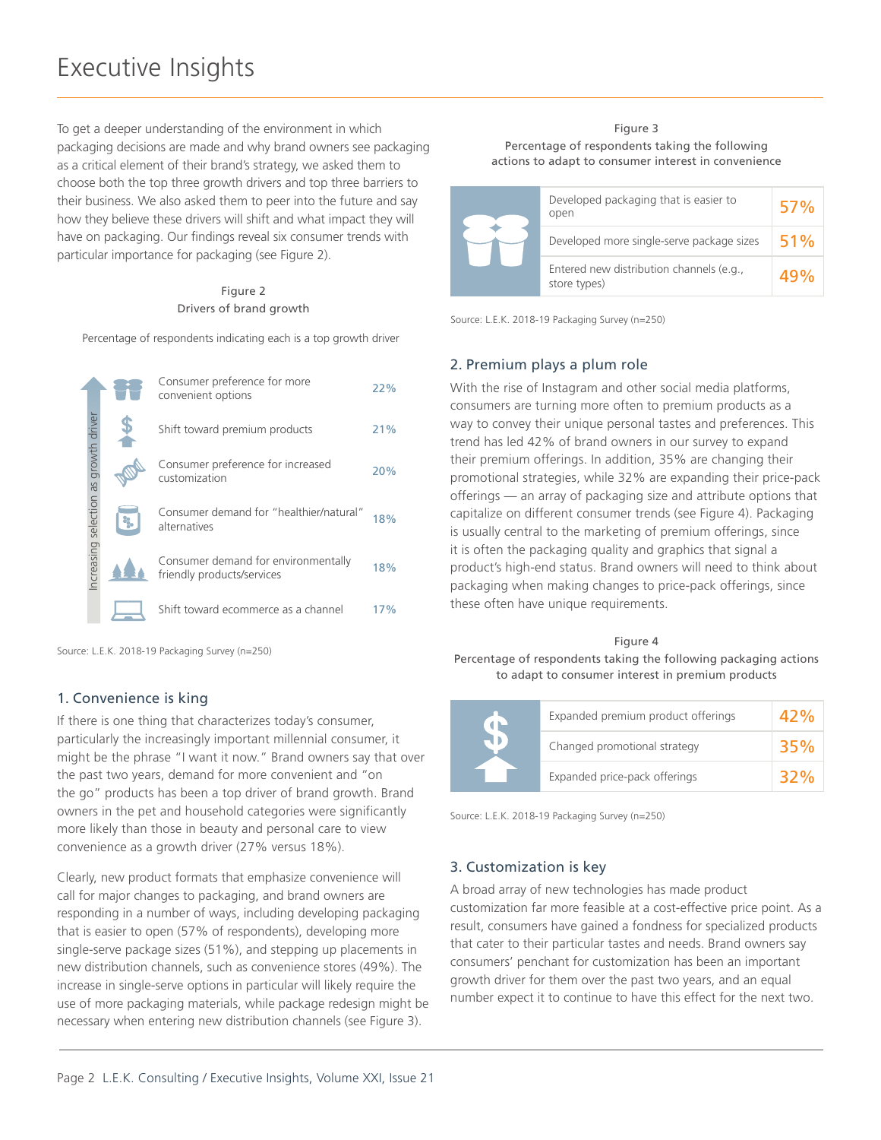To get a deeper understanding of the environment in which packaging decisions are made and why brand owners see packaging as a critical element of their brand's strategy, we asked them to choose both the top three growth drivers and top three barriers to their business. We also asked them to peer into the future and say how they believe these drivers will shift and what impact they will have on packaging. Our findings reveal six consumer trends with particular importance for packaging (see Figure 2).

#### Figure 2 Drivers of brand growth

Percentage of respondents indicating each is a top growth driver

|                                       | Consumer preference for more<br>convenient options                | 22% |
|---------------------------------------|-------------------------------------------------------------------|-----|
| Increasing selection as growth driver | Shift toward premium products                                     | 21% |
|                                       | Consumer preference for increased<br>customization                | 20% |
|                                       | Consumer demand for "healthier/natural"<br>alternatives           | 18% |
|                                       | Consumer demand for environmentally<br>friendly products/services | 18% |
|                                       | Shift toward ecommerce as a channel                               | 17% |

Source: L.E.K. 2018-19 Packaging Survey (n=250)

# 1. Convenience is king

If there is one thing that characterizes today's consumer, particularly the increasingly important millennial consumer, it might be the phrase "I want it now." Brand owners say that over the past two years, demand for more convenient and "on the go" products has been a top driver of brand growth. Brand owners in the pet and household categories were significantly more likely than those in beauty and personal care to view convenience as a growth driver (27% versus 18%).

Clearly, new product formats that emphasize convenience will call for major changes to packaging, and brand owners are responding in a number of ways, including developing packaging that is easier to open (57% of respondents), developing more single-serve package sizes (51%), and stepping up placements in new distribution channels, such as convenience stores (49%). The increase in single-serve options in particular will likely require the use of more packaging materials, while package redesign might be necessary when entering new distribution channels (see Figure 3).

#### Figure 3 Percentage of respondents taking the following actions to adapt to consumer interest in convenience

| Developed packaging that is easier to                    | 57% |
|----------------------------------------------------------|-----|
| open<br>Developed more single-serve package sizes        | 51% |
| Entered new distribution channels (e.g.,<br>store types) |     |

Source: L.E.K. 2018-19 Packaging Survey (n=250)

# 2. Premium plays a plum role

With the rise of Instagram and other social media platforms, consumers are turning more often to premium products as a way to convey their unique personal tastes and preferences. This trend has led 42% of brand owners in our survey to expand their premium offerings. In addition, 35% are changing their promotional strategies, while 32% are expanding their price-pack offerings — an array of packaging size and attribute options that capitalize on different consumer trends (see Figure 4). Packaging is usually central to the marketing of premium offerings, since it is often the packaging quality and graphics that signal a product's high-end status. Brand owners will need to think about packaging when making changes to price-pack offerings, since these often have unique requirements.

## Figure 4

Percentage of respondents taking the following packaging actions to adapt to consumer interest in premium products

|  | Expanded premium product offerings |     |
|--|------------------------------------|-----|
|  | Changed promotional strategy       | 35% |
|  | Expanded price-pack offerings      |     |

Source: L.E.K. 2018-19 Packaging Survey (n=250)

# 3. Customization is key

A broad array of new technologies has made product customization far more feasible at a cost-effective price point. As a result, consumers have gained a fondness for specialized products that cater to their particular tastes and needs. Brand owners say consumers' penchant for customization has been an important growth driver for them over the past two years, and an equal number expect it to continue to have this effect for the next two.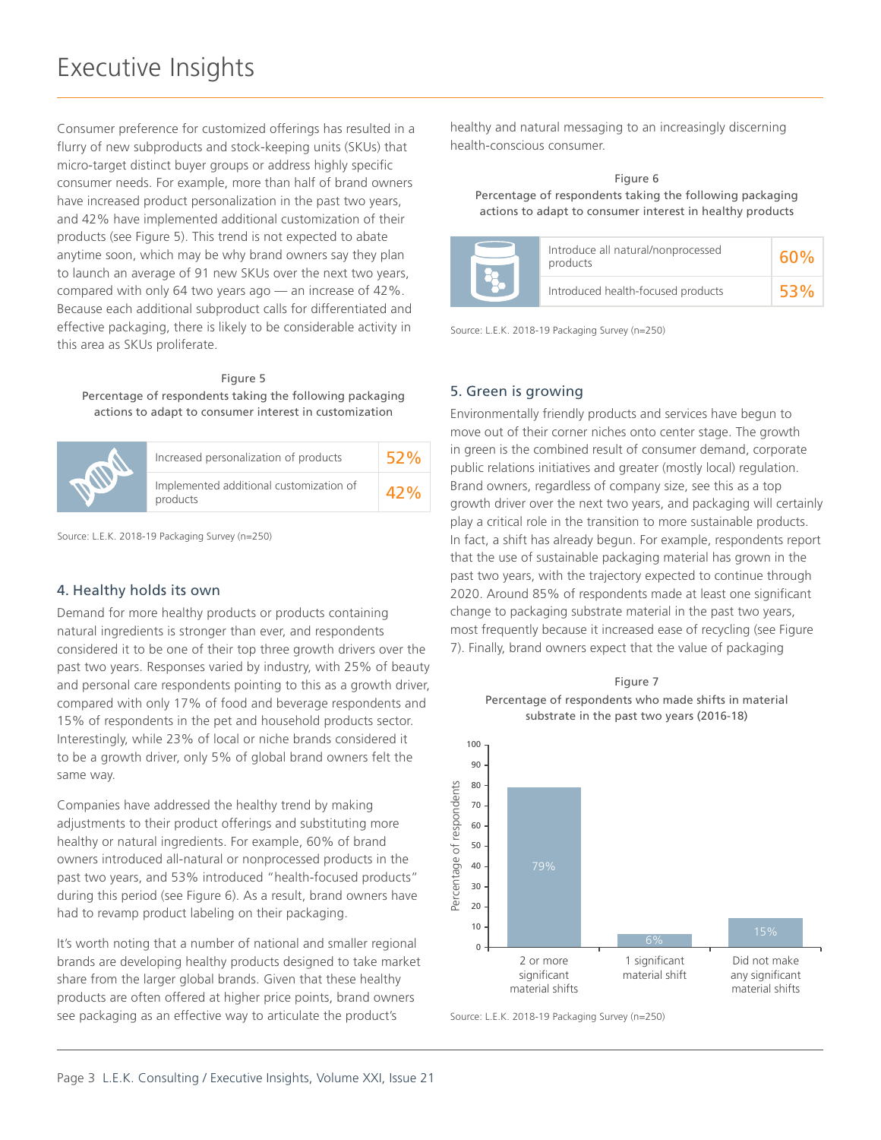Consumer preference for customized offerings has resulted in a flurry of new subproducts and stock-keeping units (SKUs) that micro-target distinct buyer groups or address highly specific consumer needs. For example, more than half of brand owners have increased product personalization in the past two years, and 42% have implemented additional customization of their products (see Figure 5). This trend is not expected to abate anytime soon, which may be why brand owners say they plan to launch an average of 91 new SKUs over the next two years, compared with only 64 two years ago — an increase of 42%. Because each additional subproduct calls for differentiated and effective packaging, there is likely to be considerable activity in this area as SKUs proliferate.

#### Figure 5

Percentage of respondents taking the following packaging actions to adapt to consumer interest in customization

| Increased personalization of products               |  |
|-----------------------------------------------------|--|
| Implemented additional customization of<br>products |  |

Source: L.E.K. 2018-19 Packaging Survey (n=250)

## 4. Healthy holds its own

Demand for more healthy products or products containing natural ingredients is stronger than ever, and respondents considered it to be one of their top three growth drivers over the past two years. Responses varied by industry, with 25% of beauty and personal care respondents pointing to this as a growth driver, compared with only 17% of food and beverage respondents and 15% of respondents in the pet and household products sector. Interestingly, while 23% of local or niche brands considered it to be a growth driver, only 5% of global brand owners felt the same way.

Companies have addressed the healthy trend by making adjustments to their product offerings and substituting more healthy or natural ingredients. For example, 60% of brand owners introduced all-natural or nonprocessed products in the past two years, and 53% introduced "health-focused products" during this period (see Figure 6). As a result, brand owners have had to revamp product labeling on their packaging.

It's worth noting that a number of national and smaller regional brands are developing healthy products designed to take market share from the larger global brands. Given that these healthy products are often offered at higher price points, brand owners see packaging as an effective way to articulate the product's

healthy and natural messaging to an increasingly discerning health-conscious consumer.

#### Figure 6 Percentage of respondents taking the following packaging actions to adapt to consumer interest in healthy products

| Introduce all natural/nonprocessed<br>products |  |
|------------------------------------------------|--|
| Introduced health-focused products             |  |

Source: L.E.K. 2018-19 Packaging Survey (n=250)

#### 5. Green is growing

Environmentally friendly products and services have begun to move out of their corner niches onto center stage. The growth in green is the combined result of consumer demand, corporate public relations initiatives and greater (mostly local) regulation. Brand owners, regardless of company size, see this as a top growth driver over the next two years, and packaging will certainly play a critical role in the transition to more sustainable products. In fact, a shift has already begun. For example, respondents report that the use of sustainable packaging material has grown in the past two years, with the trajectory expected to continue through 2020. Around 85% of respondents made at least one significant change to packaging substrate material in the past two years, most frequently because it increased ease of recycling (see Figure 7). Finally, brand owners expect that the value of packaging

Figure 7



Source: L.E.K. 2018-19 Packaging Survey (n=250)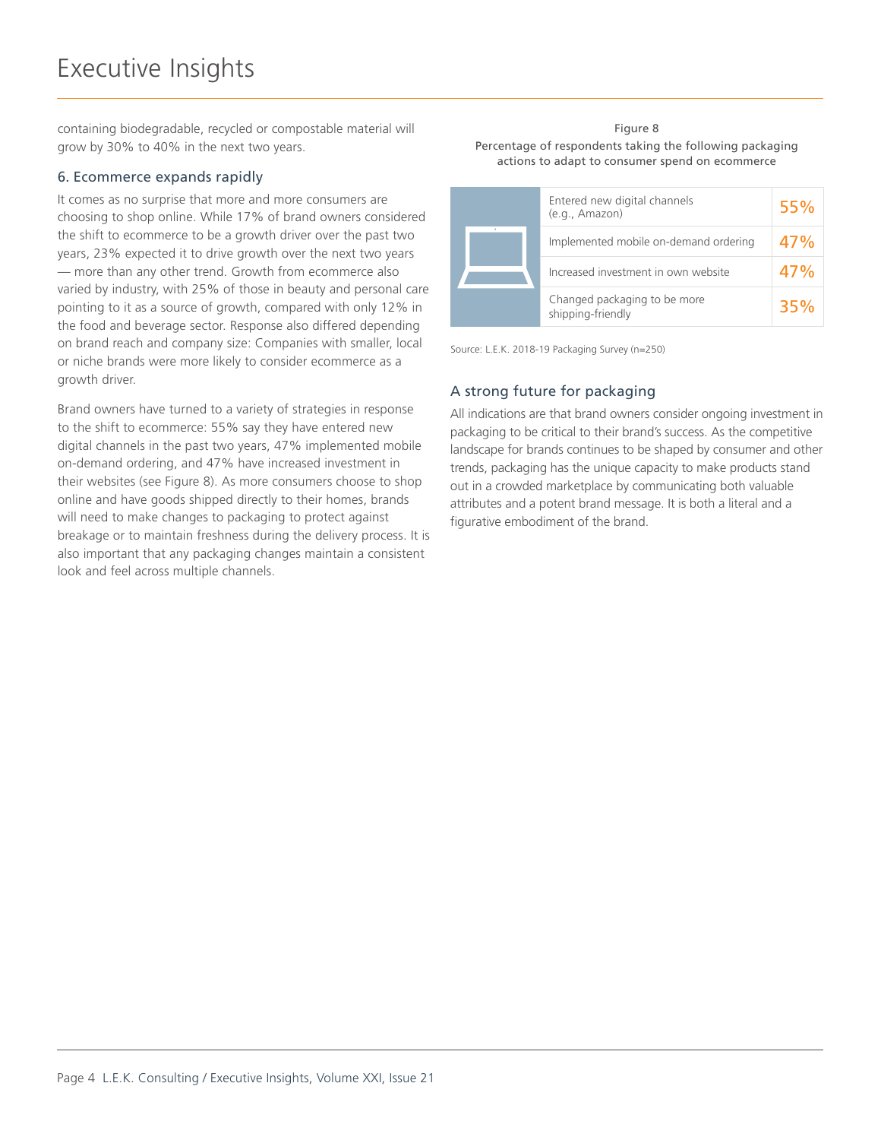containing biodegradable, recycled or compostable material will grow by 30% to 40% in the next two years.

## 6. Ecommerce expands rapidly

It comes as no surprise that more and more consumers are choosing to shop online. While 17% of brand owners considered the shift to ecommerce to be a growth driver over the past two years, 23% expected it to drive growth over the next two years — more than any other trend. Growth from ecommerce also varied by industry, with 25% of those in beauty and personal care pointing to it as a source of growth, compared with only 12% in the food and beverage sector. Response also differed depending on brand reach and company size: Companies with smaller, local or niche brands were more likely to consider ecommerce as a growth driver.

Brand owners have turned to a variety of strategies in response to the shift to ecommerce: 55% say they have entered new digital channels in the past two years, 47% implemented mobile on-demand ordering, and 47% have increased investment in their websites (see Figure 8). As more consumers choose to shop online and have goods shipped directly to their homes, brands will need to make changes to packaging to protect against breakage or to maintain freshness during the delivery process. It is also important that any packaging changes maintain a consistent look and feel across multiple channels.

#### Figure 8 Percentage of respondents taking the following packaging actions to adapt to consumer spend on ecommerce

| Entered new digital channels<br>(e.g., Amazon)    | 55% |
|---------------------------------------------------|-----|
| Implemented mobile on-demand ordering             | 47% |
| Increased investment in own website               | 47% |
| Changed packaging to be more<br>shipping-friendly | 35% |

Source: L.E.K. 2018-19 Packaging Survey (n=250)

# A strong future for packaging

All indications are that brand owners consider ongoing investment in packaging to be critical to their brand's success. As the competitive landscape for brands continues to be shaped by consumer and other trends, packaging has the unique capacity to make products stand out in a crowded marketplace by communicating both valuable attributes and a potent brand message. It is both a literal and a figurative embodiment of the brand.